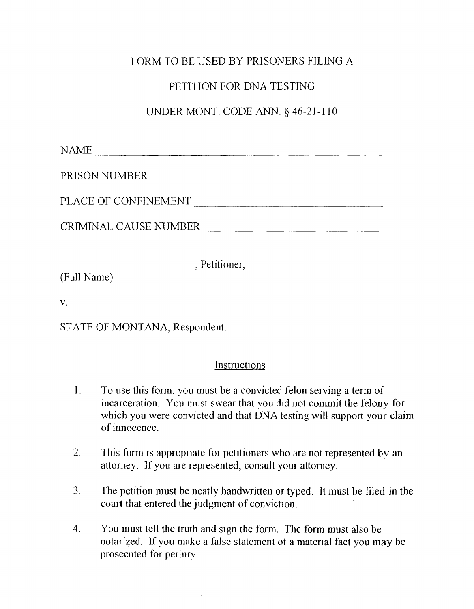# FORM TO BE USED BY PRISONERS FILING A

## PETITION FOR DNA TESTING

## UNDER MONT. CODE ANN. § 46-21-110

 $NAME$ 

PRISON NUMBER \_~~~~~~~~~~ \_\_ ~~~~

PLACE OF CONFINEMENT  $\blacksquare$ 

CRIMINAL CAUSE NUMBER  $\qquad \qquad$ 

, Petitioner, (Ful1 Name)

v.

STATE OF MONTANA, Respondent.

### **Instructions**

- 1. To use this form, you must be a convicted felon serving a term of incarceration. You must swear that you did not commit the felony for which you were convicted and that DNA testing will support your claim of innocence.
- 2. This form is appropriate for petitioners who are not represented by an attorney. If you are represented, consult your attorney.
- 3. The petition must be neatly handwritten or typed. It must be filed in the court that entered the judgment of conviction.
- 4. You must tell the truth and sign the form. The form must also be notarized. If you make a false statement of a material fact you may be prosecuted for perjury.

 $\mathcal{L}$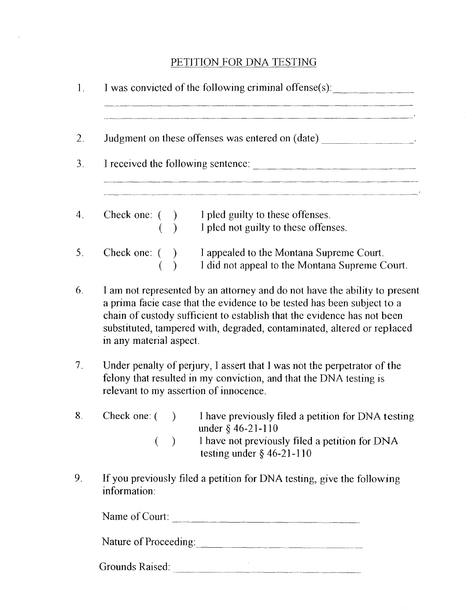### PETITION FOR DNA TESTING

| Judgment on these offenses was entered on (date) __________________.                                                                                         |                         |  |  |                                                                                                                                                                                                                                                                                                             |
|--------------------------------------------------------------------------------------------------------------------------------------------------------------|-------------------------|--|--|-------------------------------------------------------------------------------------------------------------------------------------------------------------------------------------------------------------------------------------------------------------------------------------------------------------|
| I received the following sentence:<br><u> 2005 - Jan James Harry John Harry John Harry John Harry John Harry John Harry John Harry John Harry John Harry</u> |                         |  |  |                                                                                                                                                                                                                                                                                                             |
|                                                                                                                                                              |                         |  |  | Check one: () I pled guilty to these offenses.<br>() I pled not guilty to these offenses.                                                                                                                                                                                                                   |
|                                                                                                                                                              |                         |  |  |                                                                                                                                                                                                                                                                                                             |
|                                                                                                                                                              |                         |  |  | Check one: () I appealed to the Montana Supreme Court.                                                                                                                                                                                                                                                      |
|                                                                                                                                                              |                         |  |  | I did not appeal to the Montana Supreme Court.                                                                                                                                                                                                                                                              |
|                                                                                                                                                              | in any material aspect. |  |  | I am not represented by an attorney and do not have the ability to present<br>a prima facie case that the evidence to be tested has been subject to a<br>chain of custody sufficient to establish that the evidence has not been<br>substituted, tampered with, degraded, contaminated, altered or replaced |
|                                                                                                                                                              |                         |  |  | Under penalty of perjury, I assert that I was not the perpetrator of the<br>felony that resulted in my conviction, and that the DNA testing is<br>relevant to my assertion of innocence.                                                                                                                    |
|                                                                                                                                                              |                         |  |  | Check one: () I have previously filed a petition for DNA testing                                                                                                                                                                                                                                            |

- $($   $)$ under § 46-21-110
	- I have not previously filed a petition for DNA testing under § 46-2] -1 ] 0
- 9. If you previously filed a petition for DNA testing, give the following information:

Name of Court:

Nature of Proceeding: ----------------

Grounds Raised: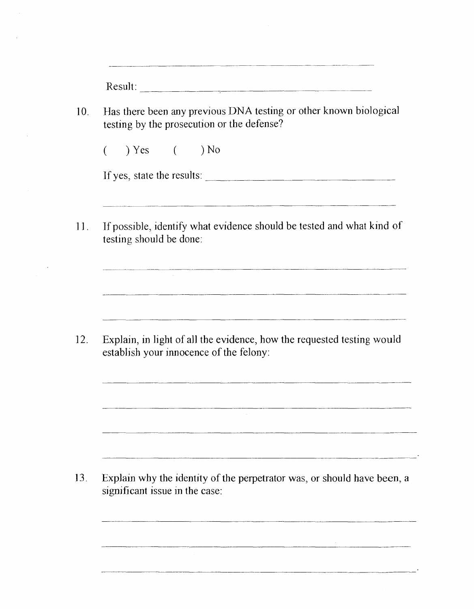| Has there been any previous DNA testing or other known biological<br>testing by the prosecution or the defense? |                                                                                                                                                                                                                                       |  |  |  |
|-----------------------------------------------------------------------------------------------------------------|---------------------------------------------------------------------------------------------------------------------------------------------------------------------------------------------------------------------------------------|--|--|--|
|                                                                                                                 | $($ $)$ Yes $($ $)$ No                                                                                                                                                                                                                |  |  |  |
|                                                                                                                 | If yes, state the results:                                                                                                                                                                                                            |  |  |  |
|                                                                                                                 | If possible, identify what evidence should be tested and what kind of<br>testing should be done:                                                                                                                                      |  |  |  |
|                                                                                                                 | and the control of the control of the control of the control of the control of the control of the control of the<br>Explain, in light of all the evidence, how the requested testing would<br>establish your innocence of the felony: |  |  |  |
|                                                                                                                 |                                                                                                                                                                                                                                       |  |  |  |
|                                                                                                                 |                                                                                                                                                                                                                                       |  |  |  |
|                                                                                                                 |                                                                                                                                                                                                                                       |  |  |  |

- 
-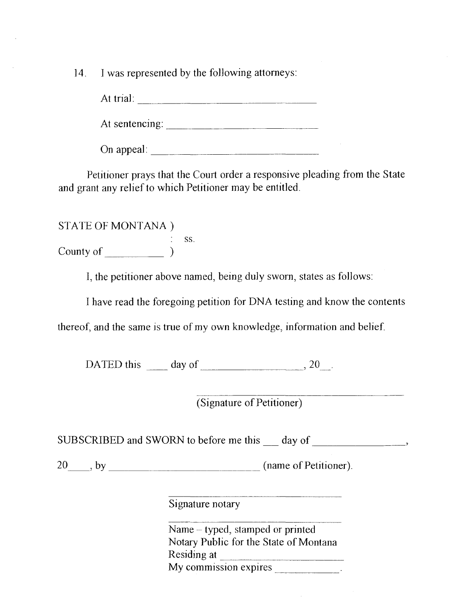14. I was represented by the following attorneys:

At trial:  $\qquad \qquad$ 

At sentencing: \_\_\_\_\_\_\_\_\_\_\_\_\_\_\_\_\_\_\_ \_

On appeal: \_\_\_\_\_\_\_\_\_\_\_\_\_\_\_\_\_ \_

Petitioner prays that the Court order a responsive pleading from the State and grant any relief to which Petitioner may be entitled.

STATE OF MONTANA ) ss. County of  $\frac{1}{\sqrt{2\pi}}$ 

I, the petitioner above named, being duly sworn, states as follows:

I have read the foregoing petition for DNA testing and know the contents

thereof, and the same is true of my own knowledge, information and belief.

DATED this  $\_\_\_\_$  day of  $\_\_\_\_\_\_$ , 20 $\_\_\_\_\$ 

(Signature of Petitioner)

and the control of the control of the control of

SUBSCRIBED and SWORN to before me this day of  $\qquad \qquad$ ,

20\_~, by \_\_\_\_\_\_\_\_\_\_\_\_\_ (name of Petitioner).

Signature notary

Name - typed, stamped or printed Notary Public for the State of Montana Residing at  $\frac{M_y}{M_y}$  commission expires

 $\mathcal{L}$